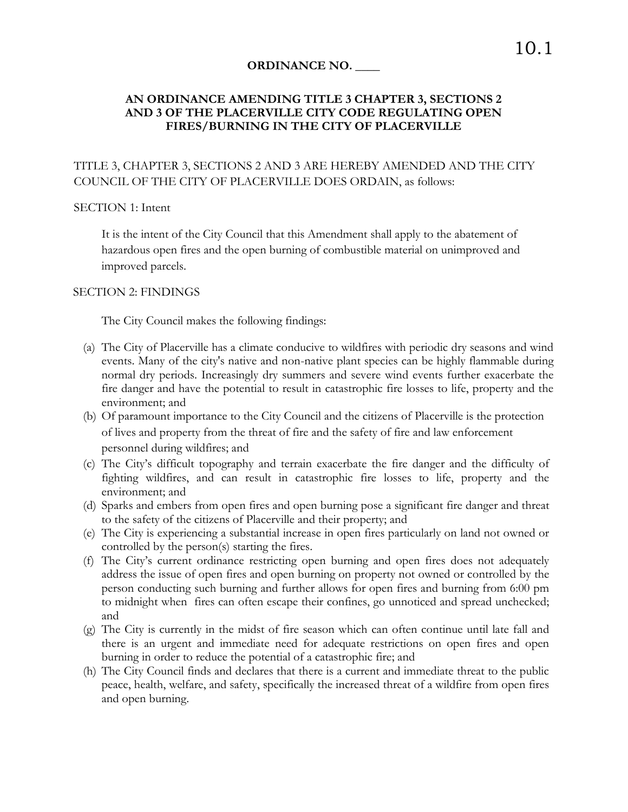### **ORDINANCE NO. \_\_\_\_**

## **AN ORDINANCE AMENDING TITLE 3 CHAPTER 3, SECTIONS 2 AND 3 OF THE PLACERVILLE CITY CODE REGULATING OPEN FIRES/BURNING IN THE CITY OF PLACERVILLE**

## TITLE 3, CHAPTER 3, SECTIONS 2 AND 3 ARE HEREBY AMENDED AND THE CITY COUNCIL OF THE CITY OF PLACERVILLE DOES ORDAIN, as follows:

#### SECTION 1: Intent

It is the intent of the City Council that this Amendment shall apply to the abatement of hazardous open fires and the open burning of combustible material on unimproved and improved parcels.

#### SECTION 2: FINDINGS

The City Council makes the following findings:

- (a) The City of Placerville has a climate conducive to wildfires with periodic dry seasons and wind events. Many of the city's native and non-native plant species can be highly flammable during normal dry periods. Increasingly dry summers and severe wind events further exacerbate the fire danger and have the potential to result in catastrophic fire losses to life, property and the environment; and
- (b) Of paramount importance to the City Council and the citizens of Placerville is the protection of lives and property from the threat of fire and the safety of fire and law enforcement personnel during wildfires; and
- (c) The City's difficult topography and terrain exacerbate the fire danger and the difficulty of fighting wildfires, and can result in catastrophic fire losses to life, property and the environment; and
- (d) Sparks and embers from open fires and open burning pose a significant fire danger and threat to the safety of the citizens of Placerville and their property; and
- (e) The City is experiencing a substantial increase in open fires particularly on land not owned or controlled by the person(s) starting the fires.
- (f) The City's current ordinance restricting open burning and open fires does not adequately address the issue of open fires and open burning on property not owned or controlled by the person conducting such burning and further allows for open fires and burning from 6:00 pm to midnight when fires can often escape their confines, go unnoticed and spread unchecked; and
- (g) The City is currently in the midst of fire season which can often continue until late fall and there is an urgent and immediate need for adequate restrictions on open fires and open burning in order to reduce the potential of a catastrophic fire; and
- (h) The City Council finds and declares that there is a current and immediate threat to the public peace, health, welfare, and safety, specifically the increased threat of a wildfire from open fires and open burning.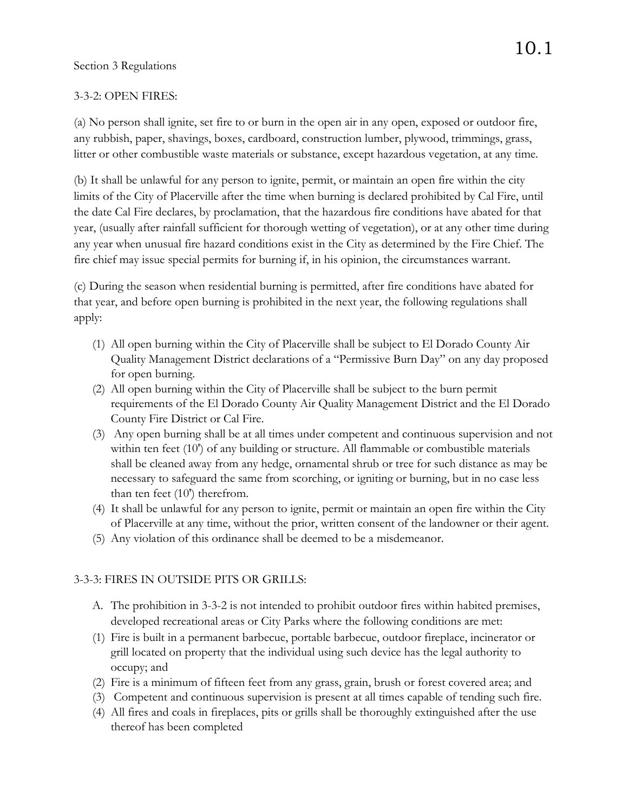# 3-3-2: OPEN FIRES:

(a) No person shall ignite, set fire to or burn in the open air in any open, exposed or outdoor fire, any rubbish, paper, shavings, boxes, cardboard, construction lumber, plywood, trimmings, grass, litter or other combustible waste materials or substance, except hazardous vegetation, at any time.

(b) It shall be unlawful for any person to ignite, permit, or maintain an open fire within the city limits of the City of Placerville after the time when burning is declared prohibited by Cal Fire, until the date Cal Fire declares, by proclamation, that the hazardous fire conditions have abated for that year, (usually after rainfall sufficient for thorough wetting of vegetation), or at any other time during any year when unusual fire hazard conditions exist in the City as determined by the Fire Chief. The fire chief may issue special permits for burning if, in his opinion, the circumstances warrant.

(c) During the season when residential burning is permitted, after fire conditions have abated for that year, and before open burning is prohibited in the next year, the following regulations shall apply:

- (1) All open burning within the City of Placerville shall be subject to El Dorado County Air Quality Management District declarations of a "Permissive Burn Day" on any day proposed for open burning.
- (2) All open burning within the City of Placerville shall be subject to the burn permit requirements of the El Dorado County Air Quality Management District and the El Dorado County Fire District or Cal Fire.
- (3) Any open burning shall be at all times under competent and continuous supervision and not within ten feet (10') of any building or structure. All flammable or combustible materials shall be cleaned away from any hedge, ornamental shrub or tree for such distance as may be necessary to safeguard the same from scorching, or igniting or burning, but in no case less than ten feet (10') therefrom.
- (4) It shall be unlawful for any person to ignite, permit or maintain an open fire within the City of Placerville at any time, without the prior, written consent of the landowner or their agent.
- (5) Any violation of this ordinance shall be deemed to be a misdemeanor.

# 3-3-3: FIRES IN OUTSIDE PITS OR GRILLS:

- A. The prohibition in 3-3-2 is not intended to prohibit outdoor fires within habited premises, developed recreational areas or City Parks where the following conditions are met:
- (1) Fire is built in a permanent barbecue, portable barbecue, outdoor fireplace, incinerator or grill located on property that the individual using such device has the legal authority to occupy; and
- (2) Fire is a minimum of fifteen feet from any grass, grain, brush or forest covered area; and
- (3) Competent and continuous supervision is present at all times capable of tending such fire.
- (4) All fires and coals in fireplaces, pits or grills shall be thoroughly extinguished after the use thereof has been completed